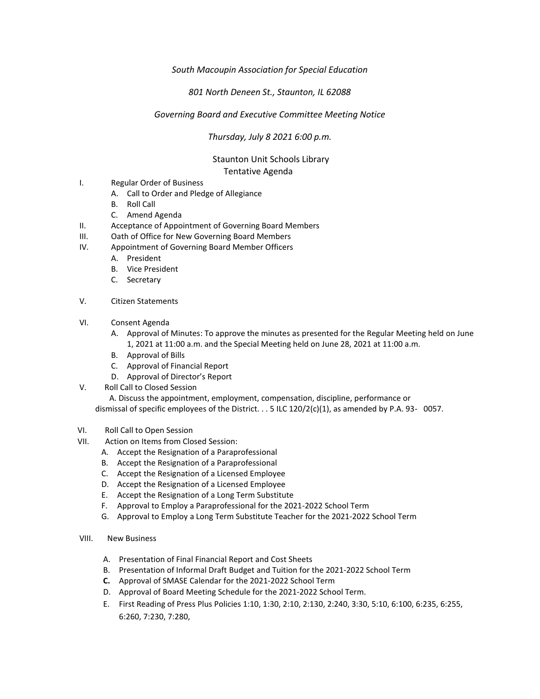## *South Macoupin Association for Special Education*

## *801 North Deneen St., Staunton, IL 62088*

## *Governing Board and Executive Committee Meeting Notice*

*Thursday, July 8 2021 6:00 p.m.*

## Staunton Unit Schools Library Tentative Agenda

- I. Regular Order of Business
	- A. Call to Order and Pledge of Allegiance
	- B. Roll Call
	- C. Amend Agenda
- II. Acceptance of Appointment of Governing Board Members
- III. Oath of Office for New Governing Board Members
- IV. Appointment of Governing Board Member Officers
	- A. President
	- B. Vice President
	- C. Secretary
- V. Citizen Statements
- VI. Consent Agenda
	- A. Approval of Minutes: To approve the minutes as presented for the Regular Meeting held on June 1, 2021 at 11:00 a.m. and the Special Meeting held on June 28, 2021 at 11:00 a.m.
	- B. Approval of Bills
	- C. Approval of Financial Report
	- D. Approval of Director's Report
- V. Roll Call to Closed Session

 A. Discuss the appointment, employment, compensation, discipline, performance or dismissal of specific employees of the District. . . 5 ILC 120/2(c)(1), as amended by P.A. 93- 0057.

- VI. Roll Call to Open Session
- VII. Action on Items from Closed Session:
	- A. Accept the Resignation of a Paraprofessional
	- B. Accept the Resignation of a Paraprofessional
	- C. Accept the Resignation of a Licensed Employee
	- D. Accept the Resignation of a Licensed Employee
	- E. Accept the Resignation of a Long Term Substitute
	- F. Approval to Employ a Paraprofessional for the 2021-2022 School Term
	- G. Approval to Employ a Long Term Substitute Teacher for the 2021-2022 School Term
- VIII. New Business
	- A. Presentation of Final Financial Report and Cost Sheets
	- B. Presentation of Informal Draft Budget and Tuition for the 2021-2022 School Term
	- **C.** Approval of SMASE Calendar for the 2021-2022 School Term
	- D. Approval of Board Meeting Schedule for the 2021-2022 School Term.
	- E. First Reading of Press Plus Policies 1:10, 1:30, 2:10, 2:130, 2:240, 3:30, 5:10, 6:100, 6:235, 6:255, 6:260, 7:230, 7:280,